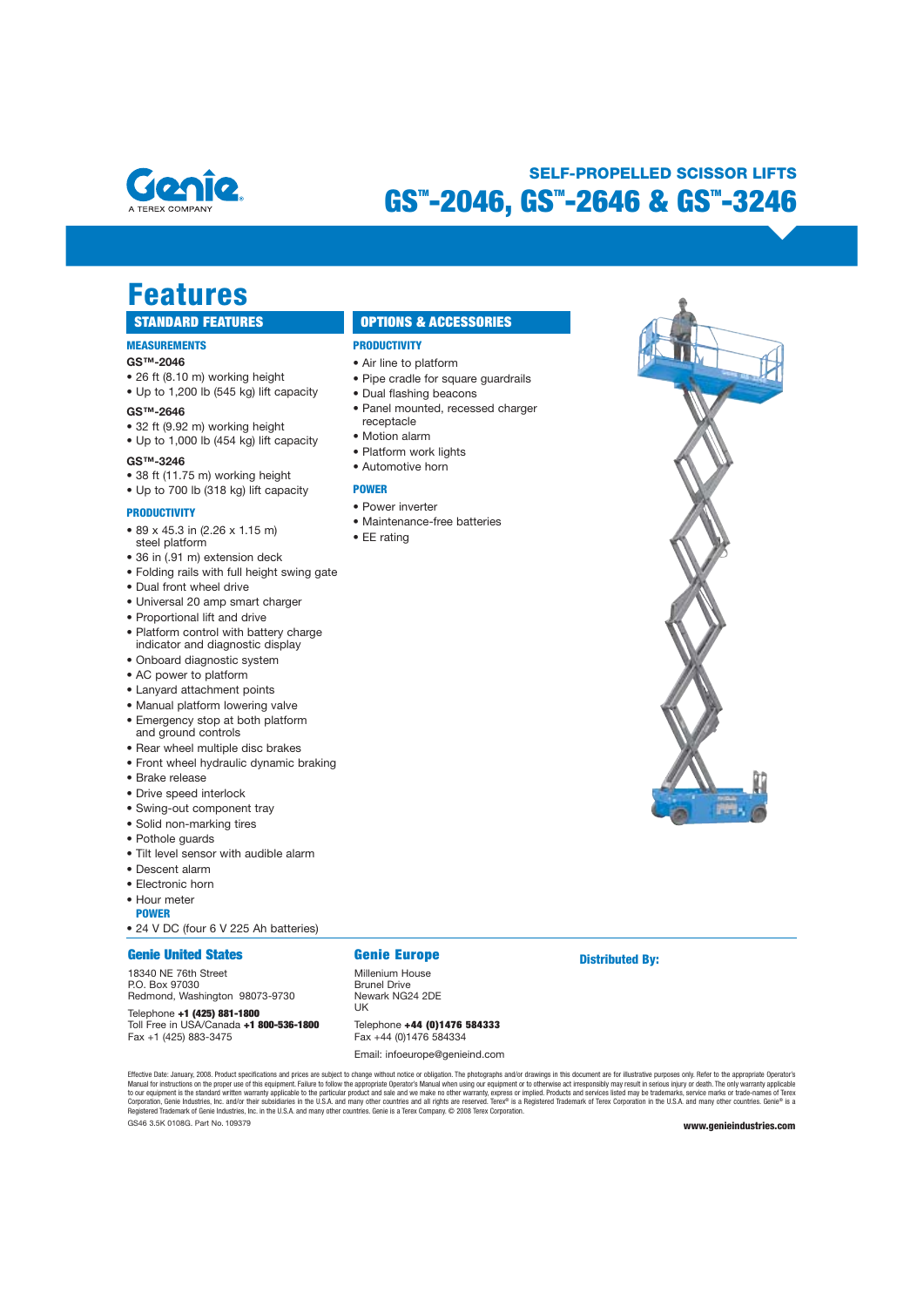

### **GS™-2046, GS™-2646 & GS™-3246 SELF-PROPELLED SCISSOR LIFTS**

# **Features**<br> **STANDARD FEATURES**

#### **MEASUREMENTS**

#### **GS™-2046**

- $\bullet$  26 ft (8.10 m) working height
- Up to 1,200 lb (545 kg) lift capacity

#### **GS™-2646**

- 32 ft (9.92 m) working height
- Up to 1,000 lb (454 kg) lift capacity

#### **GS™-3246**

- 38 ft (11.75 m) working height
- Up to 700 lb (318 kg) lift capacity

#### **PRODUCTIVITY**

- $\bullet$  89 x 45.3 in (2.26 x 1.15 m) steel platform
- 
- 36 in (.91 m) extension deck • Folding rails with full height swing gate
- Dual front wheel drive
- Universal 20 amp smart charger
- Proportional lift and drive
- Platform control with battery charge indicator and diagnostic display
- Onboard diagnostic system
- AC power to platform
- Lanyard attachment points
- Manual platform lowering valve
- Emergency stop at both platform and ground controls
- Rear wheel multiple disc brakes
- Front wheel hydraulic dynamic braking
- $\bullet$  Brake release
- Drive speed interlock
- Swing-out component tray
- Solid non-marking tires
- Pothole guards
- Tilt level sensor with audible alarm
- $\bullet$  Descent alarm
- Electronic horn
- $\bullet$  Hour meter
- **POWER**
- 24 V DC (four 6 V 225 Ah batteries)

#### **Genie United States**

18340 NE 76th Street P.O. Box 97030 Redmond, Washington 98073-9730

Telephone **+1 (425) 881-1800**<br>Toll Free in USA/Canada **+1 800-536-1800** Fax +1 (425) 883-3475

### **Genie Europe**

**PRODUCTIVITY**  • Air line to platform

receptacle • Motion alarm • Platform work lights • Automotive horn

**POWER** • Power inverter

 $\bullet$  EE rating

• Pipe cradle for square guardrails

**OPTIONS & ACCESSORIES** 

• Panel mounted, recessed charger

· Dual flashing beacons

• Maintenance-free batteries

#### Millenium House

**Brunel Drive** Newark NG24 2DE  $UK$ 

+5<5@8?>5**+44 (0)1476 584333** Fax +44 (0)1476 584334

Email: infoeurope@genieind.com

GS46 3.5K 0108G. Part No. 109379 **www.genieindustries.com**  Effective Date: January, 2008. Product specifications and prices are subject to change without notice or obligaths. The photographs and/or drawings in this document are for illustrative purposes only. Refer to the appropri

**Distributed By:**